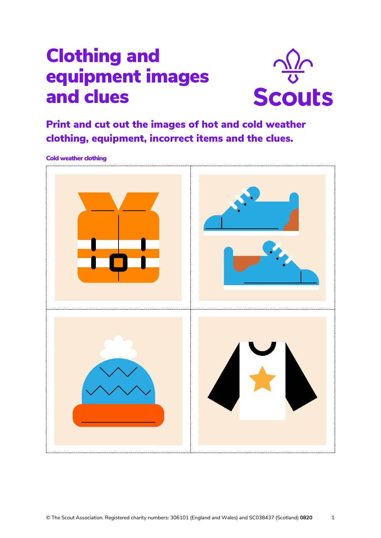## Clothing and equipment images and clues



Print and cut out the images of hot and cold weather clothing, equipment, incorrect items and the clues.

Cold weather clothing

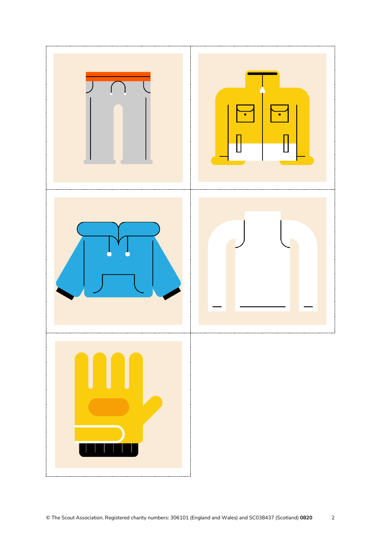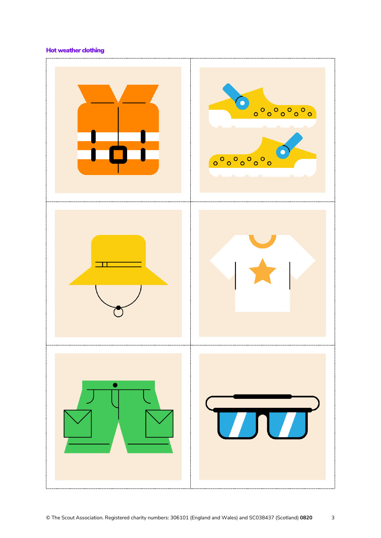## Hot weather clothing

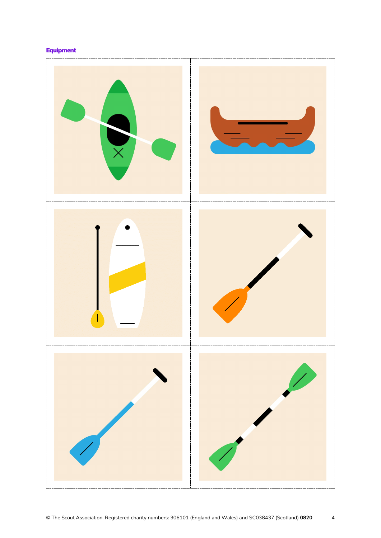## Equipment

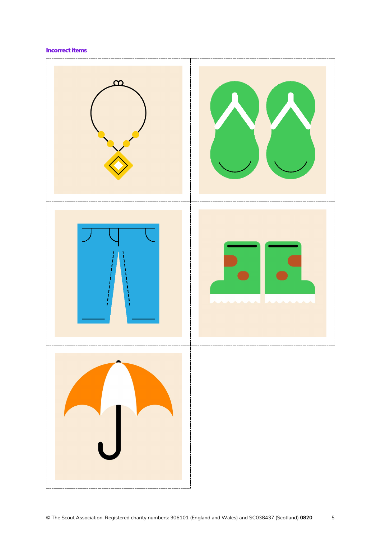## Incorrect items